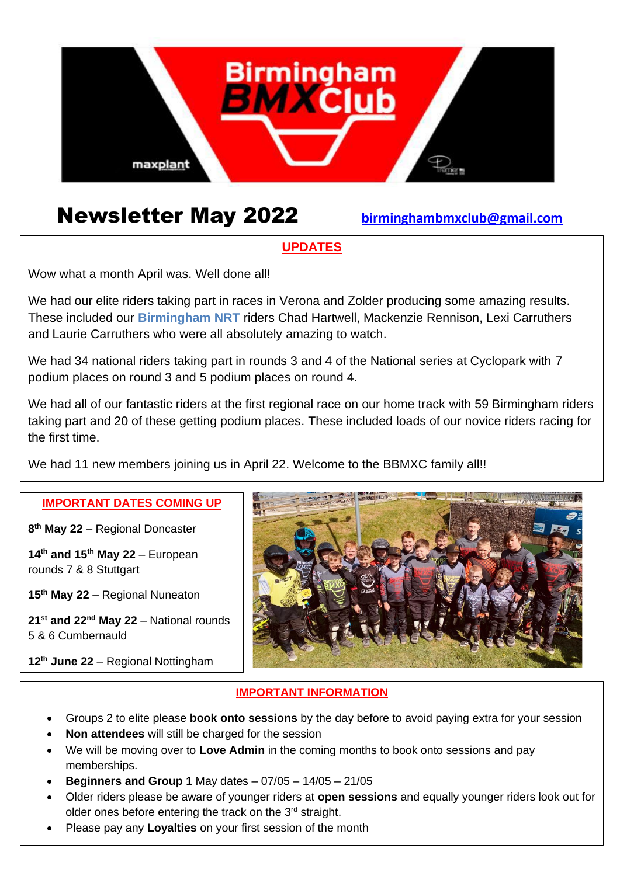

# Newsletter May 2022 **[birminghambmxclub@gmail.com](mailto:birminghambmxclub@gmail.com)**

## **UPDATES**

Wow what a month April was. Well done all!

We had our elite riders taking part in races in Verona and Zolder producing some amazing results. These included our **Birmingham NRT** riders Chad Hartwell, Mackenzie Rennison, Lexi Carruthers and Laurie Carruthers who were all absolutely amazing to watch.

We had 34 national riders taking part in rounds 3 and 4 of the National series at Cyclopark with 7 podium places on round 3 and 5 podium places on round 4.

We had all of our fantastic riders at the first regional race on our home track with 59 Birmingham riders taking part and 20 of these getting podium places. These included loads of our novice riders racing for the first time.

We had 11 new members joining us in April 22. Welcome to the BBMXC family all!!

#### **IMPORTANT DATES COMING UP**

**8 th May 22** – Regional Doncaster

**14th and 15th May 22** – European rounds 7 & 8 Stuttgart

**15th May 22** – Regional Nuneaton

**21st and 22nd May 22** – National rounds 5 & 6 Cumbernauld

**12th June 22** – Regional Nottingham



## **IMPORTANT INFORMATION**

- Groups 2 to elite please **book onto sessions** by the day before to avoid paying extra for your session
- **Non attendees** will still be charged for the session
- We will be moving over to **Love Admin** in the coming months to book onto sessions and pay memberships.
- **Beginners and Group 1** May dates 07/05 14/05 21/05
- Older riders please be aware of younger riders at **open sessions** and equally younger riders look out for older ones before entering the track on the 3<sup>rd</sup> straight.
- Please pay any **Loyalties** on your first session of the month